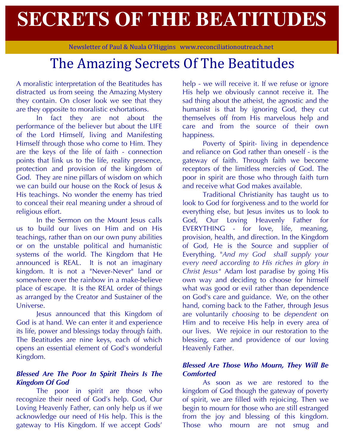# **SECRETS OF THE BEATITUDES**

Newsletter of Paul & Nuala O'Higgins www.reconciliationoutreach.net

# The Amazing Secrets Of The Beatitudes

A moralistic interpretation of the Beatitudes has distracted us from seeing the Amazing Mystery they contain. On closer look we see that they are they opposite to moralistic exhortations.

In fact they are not about the performance of the believer but about the LIFE of the Lord Himself, living and Manifesting Himself through those who come to Him. They are the keys of the life of faith - connection points that link us to the life, reality presence, protection and provision of the kingdom of God. They are nine pillars of wisdom on which we can build our house on the Rock of Jesus & His teachings. No wonder the enemy has tried to conceal their real meaning under a shroud of religious effort.

In the Sermon on the Mount Jesus calls us to build our lives on Him and on His teachings, rather than on our own puny abilities or on the unstable political and humanistic systems of the world. The Kingdom that He announced is REAL. It is not an imaginary kingdom. It is not a "Never-Never" land or somewhere over the rainbow in a make-believe place of escape. It is the REAL order of things as arranged by the Creator and Sustainer of the Universe.

Jesus announced that this Kingdom of God is at hand. We can enter it and experience its life, power and blessings today through faith. The Beatitudes are nine keys, each of which opens an essential element of God's wonderful Kingdom.

#### *Blessed Are The Poor In Spirit Theirs Is The Kingdom Of God*

The poor in spirit are those who recognize their need of God's help. God, Our Loving Heavenly Father, can only help us if we acknowledge our need of His help. This is the gateway to His Kingdom. If we accept Gods'

help - we will receive it. If we refuse or ignore His help we obviously cannot receive it. The sad thing about the atheist, the agnostic and the humanist is that by ignoring God, they cut themselves off from His marvelous help and care and from the source of their own happiness.

Poverty of Spirit- living in dependence and reliance on God rather than oneself - is the gateway of faith. Through faith we become receptors of the limitless mercies of God. The poor in spirit are those who through faith turn and receive what God makes available.

Traditional Christianity has taught us to look to God for forgiveness and to the world for everything else, but Jesus invites us to look to God, Our Loving Heavenly Father for EVERYTHING - for love, life, meaning, provision, health, and direction. In the Kingdom of God, He is the Source and supplier of Everything. "*And my God shall supply your every need according to His riches in glory in Christ Jesus"* Adam lost paradise by going His own way and deciding to choose for himself what was good or evil rather than dependence on God's care and guidance. We, on the other hand, coming back to the Father, through Jesus are voluntarily *choosing* to be *dependent* on Him and to receive His help in every area of our lives. We rejoice in our restoration to the blessing, care and providence of our loving Heavenly Father.

### *Blessed Are Those Who Mourn, They Will Be Comforted*

As soon as we are restored to the kingdom of God though the gateway of poverty of spirit, we are filled with rejoicing. Then we begin to mourn for those who are still estranged from the joy and blessing of this kingdom. Those who mourn are not smug and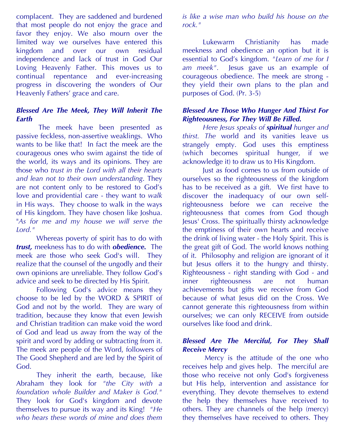complacent. They are saddened and burdened that most people do not enjoy the grace and favor they enjoy. We also mourn over the limited way we ourselves have entered this kingdom and over our own residual independence and lack of trust in God Our Loving Heavenly Father. This moves us to continual repentance and ever-increasing progress in discovering the wonders of Our Heavenly Fathers' grace and care.

#### *Blessed Are The Meek, They Will Inherit The Earth*

The meek have been presented as passive feckless, non-assertive weaklings. Who wants to be like that! In fact the meek are the courageous ones who swim against the tide of the world, its ways and its opinions. They are those who *trust in the Lord with all their hearts and lean not to their own understanding*. They are not content only to be restored to God's love and providential care - they want to *walk* in His ways. They choose to walk in the ways of His kingdom. They have chosen like Joshua. "*As for me and my house we will serve the Lord."*

Whereas poverty of spirit has to do with *trust,* meekness has to do with *obedience.* The meek are those who seek God's will. They realize that the counsel of the ungodly and their own opinions are unreliable. They follow God's advice and seek to be directed by His Spirit.

Following God's advice means they choose to be led by the WORD & SPIRIT of God and not by the world. They are wary of tradition, because they know that even Jewish and Christian tradition can make void the word of God and lead us away from the way of the spirit and word by adding or subtracting from it. The meek are people of the Word, followers of The Good Shepherd and are led by the Spirit of God.

They inherit the earth, because, like Abraham they look for *"the City with a foundation whole Builder and Maker is God."* They look for God's kingdom and devote themselves to pursue its way and its King! *"He who hears these words of mine and does them*  *is like a wise man who build his house on the rock."*

Lukewarm Christianity has made meekness and obedience an option but it is essential to God's kingdom. *"Learn of me for I am meek".* Jesus gave us an example of courageous obedience. The meek are strong they yield their own plans to the plan and purposes of God. (Pr. 3-5)

# *Blessed Are Those Who Hunger And Thirst For Righteousness, For They Will Be Filled.*

*Here Jesus speaks of spiritual hunger and thirst. The* world and its vanities leave us strangely empty. God uses this emptiness (which becomes spiritual hunger, if we acknowledge it) to draw us to His Kingdom.

Just as food comes to us from outside of ourselves so the righteousness of the kingdom has to be received as a gift. We first have to discover the inadequacy of our own selfrighteousness before we can receive the righteousness that comes from God though Jesus' Cross. The spiritually thirsty acknowledge the emptiness of their own hearts and receive the drink of living water - the Holy Spirit. This is the great gift of God. The world knows nothing of it. Philosophy and religion are ignorant of it but Jesus offers it to the hungry and thirsty. Righteousness - right standing with God - and inner righteousness are not human achievements but gifts we receive from God because of what Jesus did on the Cross. We cannot generate this righteousness from within ourselves; we can only RECEIVE from outside ourselves like food and drink.

#### *Blessed Are The Merciful, For They Shall Receive Mercy*

Mercy is the attitude of the one who receives help and gives help. The merciful are those who receive not only God's forgiveness but His help, intervention and assistance for everything. They devote themselves to extend the help they themselves have received to others. They are channels of the help (mercy) they themselves have received to others. They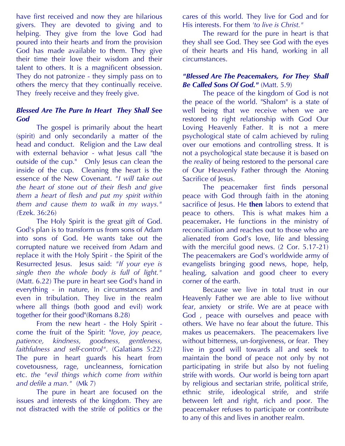have first received and now they are hilarious givers. They are devoted to giving and to helping. They give from the love God had poured into their hearts and from the provision God has made available to them. They give their time their love their wisdom and their talent to others. It is a magnificent obsession. They do not patronize - they simply pass on to others the mercy that they continually receive. They freely receive and they freely give.

#### *Blessed Are The Pure In Heart They Shall See God*

The gospel is primarily about the heart (spirit) and only secondarily a matter of the head and conduct. Religion and the Law deal with external behavior - what Jesus call "the outside of the cup." Only Jesus can clean the inside of the cup. Cleaning the heart is the essence of the New Covenant. *"I will take out the heart of stone out of their flesh and give them a heart of flesh and put my spirit within them and cause them to walk in my ways." (*Ezek. 36:26)

The Holy Spirit is the great gift of God. God's plan is to transform us from sons of Adam into sons of God. He wants take out the corrupted nature we received from Adam and replace it with the Holy Spirit - the Spirit of the Resurrected Jesus. Jesus said: *"If your eye is single then the whole body is full of light."* (Matt. 6.22) The pure in heart see God's hand in everything - in nature, in circumstances and even in tribulation. They live in the realm where all things (both good and evil) work together for their good"(Romans 8.28)

From the new heart - the Holy Spirit come the fruit of the Spirit: "*love, joy peace, patience, kindness, goodness, gentleness, faithfulness and self-control".* (Galatians 5:22) The pure in heart guards his heart from covetousness, rage, uncleanness, fornication etc. *the "evil things which come from within and defile a man."* (Mk 7)

The pure in heart are focused on the issues and interests of the kingdom. They are not distracted with the strife of politics or the cares of this world. They live for God and for His interests. For them *'to live is Christ."*

The reward for the pure in heart is that they shall see God. They see God with the eyes of their hearts and His hand, working in all circumstances.

# *"Blessed Are The Peacemakers, For They Shall Be Called Sons Of God."* (Matt. 5.9)

The peace of the kingdom of God is not the peace of the world. "Shalom" is a state of well being that we receive when we are restored to right relationship with God Our Loving Heavenly Father. It is not a mere psychological state of calm achieved by ruling over our emotions and controlling stress. It is not a psychological state because it is based on the *reality* of being restored to the personal care of Our Heavenly Father through the Atoning Sacrifice of Jesus.

The peacemaker first finds personal peace with God through faith in the atoning sacrifice of Jesus. He **then** labors to extend that peace to others. This is what makes him a peacemaker**.** He functions in the ministry of reconciliation and reaches out to those who are alienated from God's love, life and blessing with the merciful good news. (2 Cor. 5.17-21) The peacemakers are God's worldwide army of evangelists bringing good news, hope, help, healing, salvation and good cheer to every corner of the earth.

Because we live in total trust in our Heavenly Father we are able to live without fear, anxiety or strife. We are at peace with God , peace with ourselves and peace with others. We have no fear about the future. This makes us peacemakers. The peacemakers live without bitterness, un-forgiveness, or fear. They live in good will towards all and seek to maintain the bond of peace not only by not participating in strife but also by not fueling strife with words. Our world is being torn apart by religious and sectarian strife, political strife, ethnic strife, ideological strife, and strife between left and right, rich and poor. The peacemaker refuses to participate or contribute to any of this and lives in another realm.